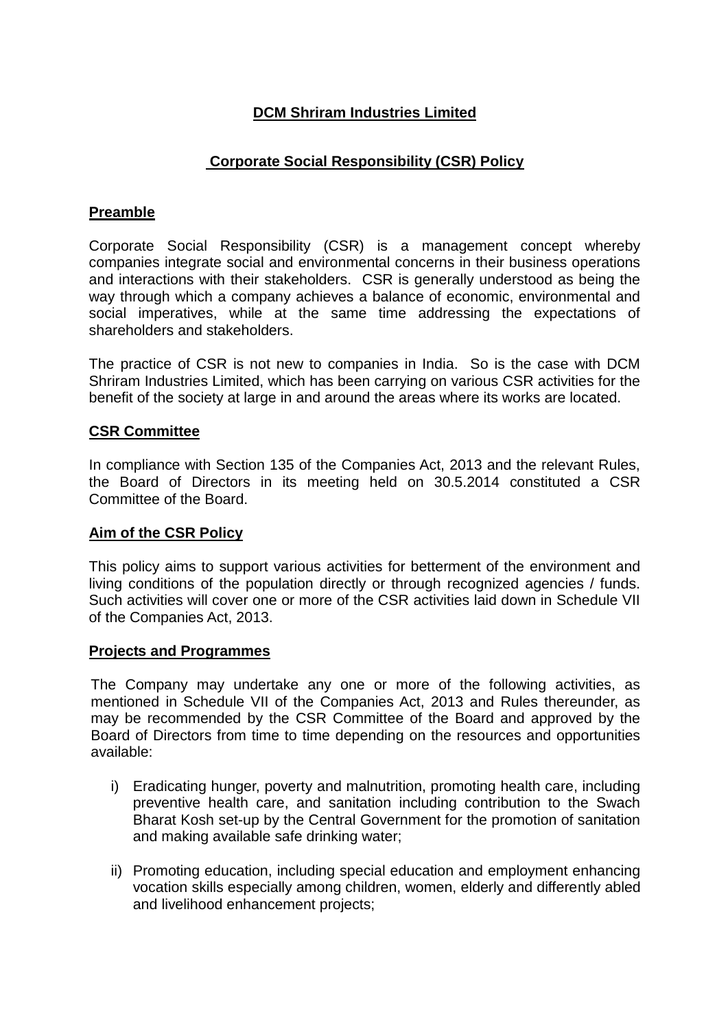# **DCM Shriram Industries Limited**

# **Corporate Social Responsibility (CSR) Policy**

## **Preamble**

Corporate Social Responsibility (CSR) is a management concept whereby companies integrate social and environmental concerns in their business operations and interactions with their stakeholders. CSR is generally understood as being the way through which a company achieves a balance of economic, environmental and social imperatives, while at the same time addressing the expectations of shareholders and stakeholders.

The practice of CSR is not new to companies in India. So is the case with DCM Shriram Industries Limited, which has been carrying on various CSR activities for the benefit of the society at large in and around the areas where its works are located.

### **CSR Committee**

In compliance with Section 135 of the Companies Act, 2013 and the relevant Rules, the Board of Directors in its meeting held on 30.5.2014 constituted a CSR Committee of the Board.

### **Aim of the CSR Policy**

This policy aims to support various activities for betterment of the environment and living conditions of the population directly or through recognized agencies / funds. Such activities will cover one or more of the CSR activities laid down in Schedule VII of the Companies Act, 2013.

### **Projects and Programmes**

The Company may undertake any one or more of the following activities, as mentioned in Schedule VII of the Companies Act, 2013 and Rules thereunder, as may be recommended by the CSR Committee of the Board and approved by the Board of Directors from time to time depending on the resources and opportunities available:

- i) Eradicating hunger, poverty and malnutrition, promoting health care, including preventive health care, and sanitation including contribution to the Swach Bharat Kosh set-up by the Central Government for the promotion of sanitation and making available safe drinking water;
- ii) Promoting education, including special education and employment enhancing vocation skills especially among children, women, elderly and differently abled and livelihood enhancement projects;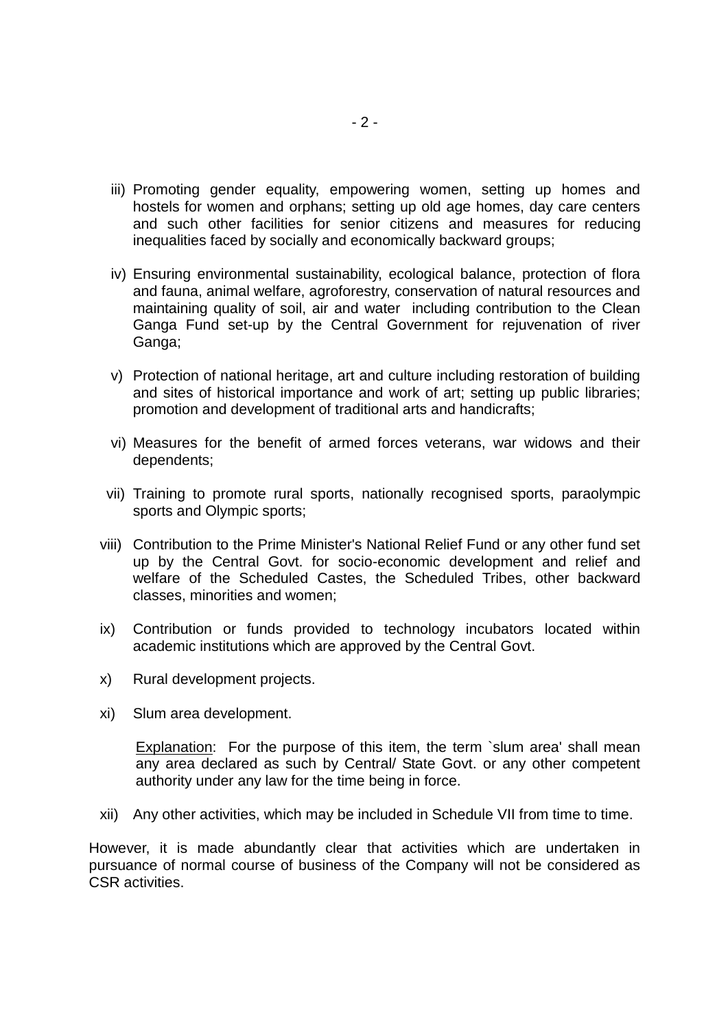- iii) Promoting gender equality, empowering women, setting up homes and hostels for women and orphans; setting up old age homes, day care centers and such other facilities for senior citizens and measures for reducing inequalities faced by socially and economically backward groups;
- iv) Ensuring environmental sustainability, ecological balance, protection of flora and fauna, animal welfare, agroforestry, conservation of natural resources and maintaining quality of soil, air and water including contribution to the Clean Ganga Fund set-up by the Central Government for rejuvenation of river Ganga;
- v) Protection of national heritage, art and culture including restoration of building and sites of historical importance and work of art; setting up public libraries; promotion and development of traditional arts and handicrafts;
- vi) Measures for the benefit of armed forces veterans, war widows and their dependents;
- vii) Training to promote rural sports, nationally recognised sports, paraolympic sports and Olympic sports;
- viii) Contribution to the Prime Minister's National Relief Fund or any other fund set up by the Central Govt. for socio-economic development and relief and welfare of the Scheduled Castes, the Scheduled Tribes, other backward classes, minorities and women;
- ix) Contribution or funds provided to technology incubators located within academic institutions which are approved by the Central Govt.
- x) Rural development projects.
- xi) Slum area development.

Explanation: For the purpose of this item, the term `slum area' shall mean any area declared as such by Central/ State Govt. or any other competent authority under any law for the time being in force.

xii) Any other activities, which may be included in Schedule VII from time to time.

However, it is made abundantly clear that activities which are undertaken in pursuance of normal course of business of the Company will not be considered as CSR activities.